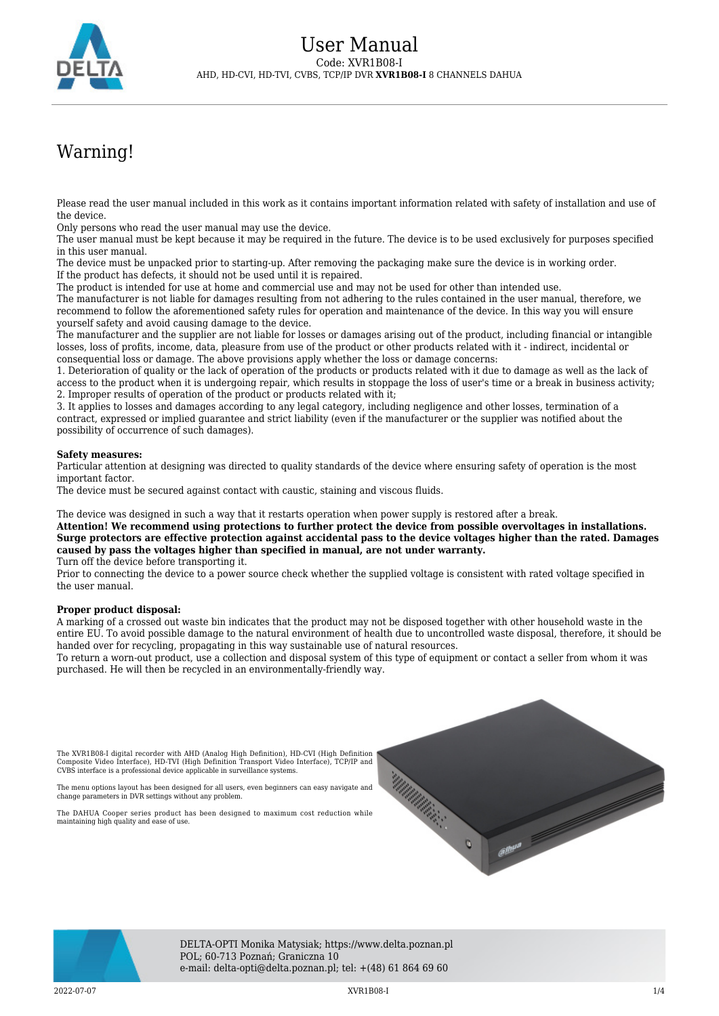

## Warning!

Please read the user manual included in this work as it contains important information related with safety of installation and use of the device.

Only persons who read the user manual may use the device.

The user manual must be kept because it may be required in the future. The device is to be used exclusively for purposes specified in this user manual.

The device must be unpacked prior to starting-up. After removing the packaging make sure the device is in working order. If the product has defects, it should not be used until it is repaired.

The product is intended for use at home and commercial use and may not be used for other than intended use.

The manufacturer is not liable for damages resulting from not adhering to the rules contained in the user manual, therefore, we recommend to follow the aforementioned safety rules for operation and maintenance of the device. In this way you will ensure yourself safety and avoid causing damage to the device.

The manufacturer and the supplier are not liable for losses or damages arising out of the product, including financial or intangible losses, loss of profits, income, data, pleasure from use of the product or other products related with it - indirect, incidental or consequential loss or damage. The above provisions apply whether the loss or damage concerns:

1. Deterioration of quality or the lack of operation of the products or products related with it due to damage as well as the lack of access to the product when it is undergoing repair, which results in stoppage the loss of user's time or a break in business activity; 2. Improper results of operation of the product or products related with it;

3. It applies to losses and damages according to any legal category, including negligence and other losses, termination of a contract, expressed or implied guarantee and strict liability (even if the manufacturer or the supplier was notified about the possibility of occurrence of such damages).

## **Safety measures:**

Particular attention at designing was directed to quality standards of the device where ensuring safety of operation is the most important factor.

The device must be secured against contact with caustic, staining and viscous fluids.

The device was designed in such a way that it restarts operation when power supply is restored after a break.

**Attention! We recommend using protections to further protect the device from possible overvoltages in installations. Surge protectors are effective protection against accidental pass to the device voltages higher than the rated. Damages caused by pass the voltages higher than specified in manual, are not under warranty.**

Turn off the device before transporting it.

Prior to connecting the device to a power source check whether the supplied voltage is consistent with rated voltage specified in the user manual.

## **Proper product disposal:**

A marking of a crossed out waste bin indicates that the product may not be disposed together with other household waste in the entire EU. To avoid possible damage to the natural environment of health due to uncontrolled waste disposal, therefore, it should be handed over for recycling, propagating in this way sustainable use of natural resources.

To return a worn-out product, use a collection and disposal system of this type of equipment or contact a seller from whom it was purchased. He will then be recycled in an environmentally-friendly way.

The XVR1B08-I digital recorder with AHD (Analog High Definition), HD-CVI (High Definition Composite Video Interface), HD-TVI (High Definition Transport Video Interface), TCP/IP and CVBS interface is a professional device applicable in surveillance systems.

The menu options layout has been designed for all users, even beginners can easy navigate and change parameters in DVR settings without any problem.

The DAHUA Cooper series product has been designed to maximum cost reduction while maintaining high quality and ease of use.





DELTA-OPTI Monika Matysiak; https://www.delta.poznan.pl POL; 60-713 Poznań; Graniczna 10 e-mail: delta-opti@delta.poznan.pl; tel: +(48) 61 864 69 60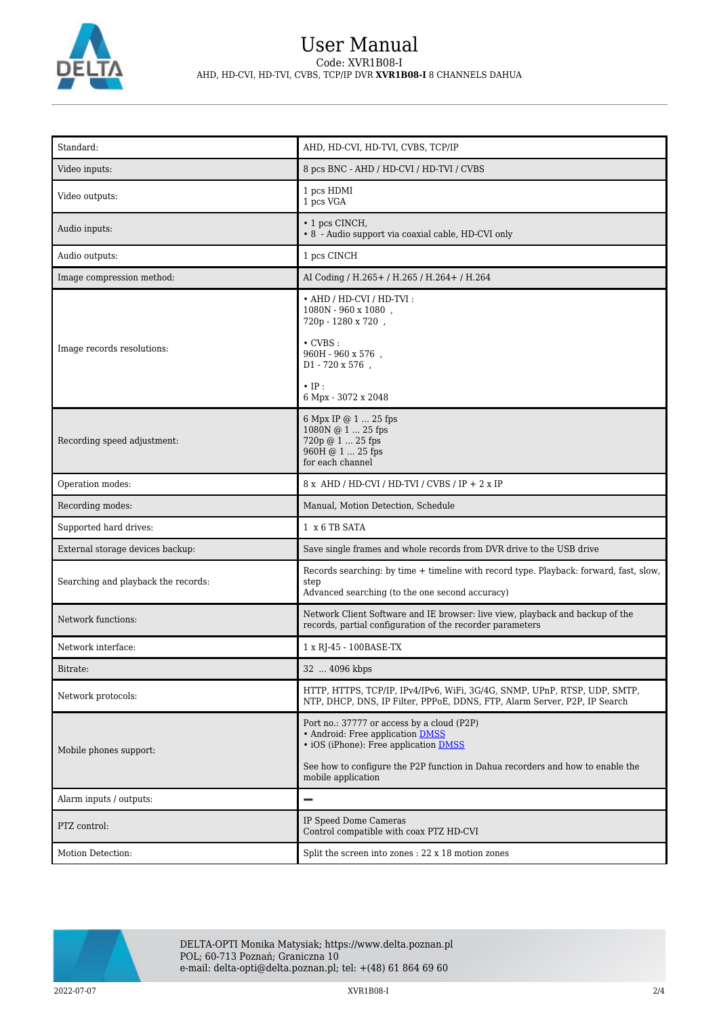

| Standard:                           | AHD, HD-CVI, HD-TVI, CVBS, TCP/IP                                                                                                                                                                                               |
|-------------------------------------|---------------------------------------------------------------------------------------------------------------------------------------------------------------------------------------------------------------------------------|
| Video inputs:                       | 8 pcs BNC - AHD / HD-CVI / HD-TVI / CVBS                                                                                                                                                                                        |
| Video outputs:                      | 1 pcs HDMI<br>1 pcs VGA                                                                                                                                                                                                         |
| Audio inputs:                       | • 1 pcs CINCH,<br>• 8 - Audio support via coaxial cable, HD-CVI only                                                                                                                                                            |
| Audio outputs:                      | 1 pcs CINCH                                                                                                                                                                                                                     |
| Image compression method:           | AI Coding / H.265 + / H.265 / H.264 + / H.264                                                                                                                                                                                   |
| Image records resolutions:          | • AHD / HD-CVI / HD-TVI:<br>1080N - 960 x 1080,<br>720p - 1280 x 720,<br>$\cdot$ CVBS :<br>960H - 960 x 576,<br>D1 - 720 x 576,<br>$\cdot$ IP:<br>6 Mpx - 3072 x 2048                                                           |
| Recording speed adjustment:         | 6 Mpx IP @ 1  25 fps<br>1080N @ 1  25 fps<br>720p @ 1  25 fps<br>960H @ 1  25 fps<br>for each channel                                                                                                                           |
| Operation modes:                    | 8 x AHD / HD-CVI / HD-TVI / CVBS / IP + 2 x IP                                                                                                                                                                                  |
| Recording modes:                    | Manual, Motion Detection, Schedule                                                                                                                                                                                              |
| Supported hard drives:              | 1 x 6 TB SATA                                                                                                                                                                                                                   |
| External storage devices backup:    | Save single frames and whole records from DVR drive to the USB drive                                                                                                                                                            |
| Searching and playback the records: | Records searching: by time + timeline with record type. Playback: forward, fast, slow,<br>step<br>Advanced searching (to the one second accuracy)                                                                               |
| Network functions:                  | Network Client Software and IE browser: live view, playback and backup of the<br>records, partial configuration of the recorder parameters                                                                                      |
| Network interface:                  | 1 x RJ-45 - 100BASE-TX                                                                                                                                                                                                          |
| Bitrate:                            | 32  4096 kbps                                                                                                                                                                                                                   |
| Network protocols:                  | HTTP, HTTPS, TCP/IP, IPv4/IPv6, WiFi, 3G/4G, SNMP, UPnP, RTSP, UDP, SMTP,<br>NTP, DHCP, DNS, IP Filter, PPPoE, DDNS, FTP, Alarm Server, P2P, IP Search                                                                          |
| Mobile phones support:              | Port no.: 37777 or access by a cloud (P2P)<br>• Android: Free application DMSS<br>• iOS (iPhone): Free application DMSS<br>See how to configure the P2P function in Dahua recorders and how to enable the<br>mobile application |
| Alarm inputs / outputs:             | $\overline{\phantom{0}}$                                                                                                                                                                                                        |
| PTZ control:                        | IP Speed Dome Cameras<br>Control compatible with coax PTZ HD-CVI                                                                                                                                                                |
| Motion Detection:                   | Split the screen into zones : 22 x 18 motion zones                                                                                                                                                                              |

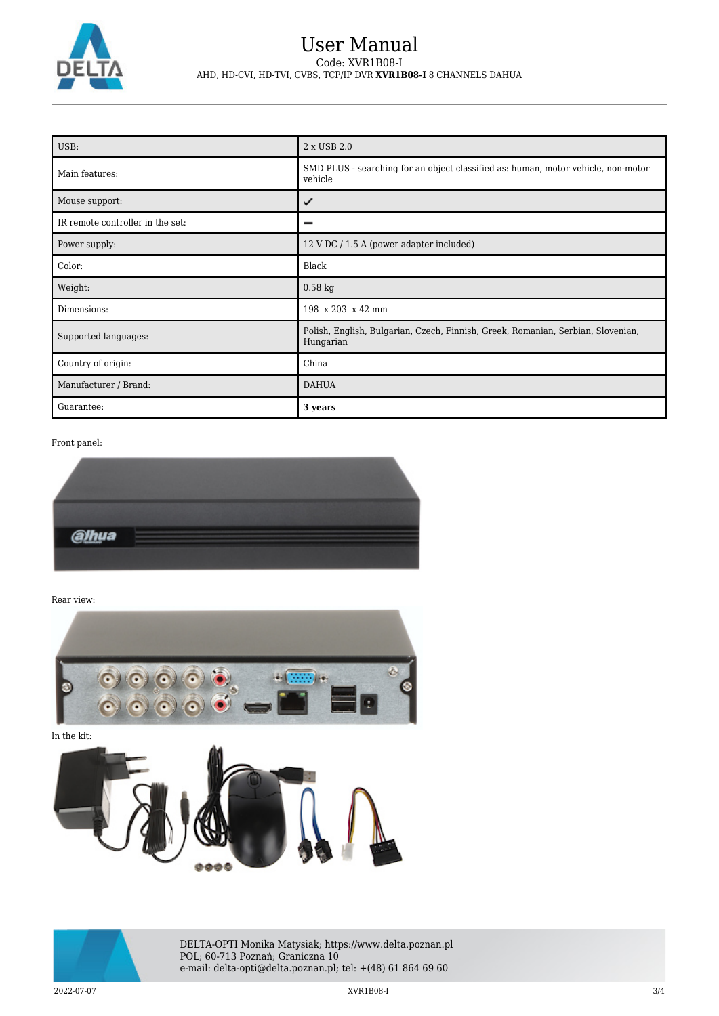

## User Manual Code: XVR1B08-I AHD, HD-CVI, HD-TVI, CVBS, TCP/IP DVR **XVR1B08-I** 8 CHANNELS DAHUA

| USB:                             | 2 x USB 2.0                                                                                   |
|----------------------------------|-----------------------------------------------------------------------------------------------|
| Main features:                   | SMD PLUS - searching for an object classified as: human, motor vehicle, non-motor<br>vehicle  |
| Mouse support:                   | ✓                                                                                             |
| IR remote controller in the set: |                                                                                               |
| Power supply:                    | 12 V DC / 1.5 A (power adapter included)                                                      |
| Color:                           | Black                                                                                         |
| Weight:                          | $0.58$ kg                                                                                     |
| Dimensions:                      | 198 x 203 x 42 mm                                                                             |
| Supported languages:             | Polish, English, Bulgarian, Czech, Finnish, Greek, Romanian, Serbian, Slovenian,<br>Hungarian |
| Country of origin:               | China                                                                                         |
| Manufacturer / Brand:            | <b>DAHUA</b>                                                                                  |
| Guarantee:                       | 3 years                                                                                       |

Front panel:



Rear view:





DELTA-OPTI Monika Matysiak; https://www.delta.poznan.pl POL; 60-713 Poznań; Graniczna 10 e-mail: delta-opti@delta.poznan.pl; tel: +(48) 61 864 69 60